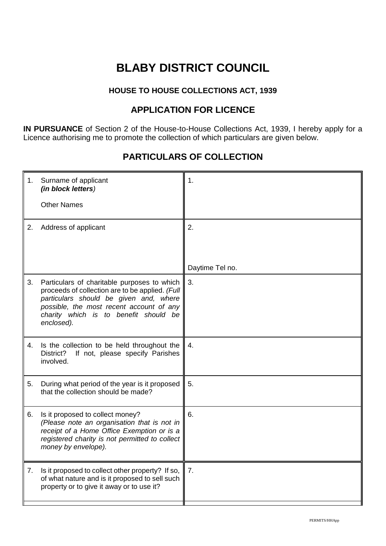# **BLABY DISTRICT COUNCIL**

#### **HOUSE TO HOUSE COLLECTIONS ACT, 1939**

### **APPLICATION FOR LICENCE**

**IN PURSUANCE** of Section 2 of the House-to-House Collections Act, 1939, I hereby apply for a Licence authorising me to promote the collection of which particulars are given below.

## **PARTICULARS OF COLLECTION**

| 1. | Surname of applicant<br>(in block letters)                                                                                                                                                                                                  | 1.               |
|----|---------------------------------------------------------------------------------------------------------------------------------------------------------------------------------------------------------------------------------------------|------------------|
|    | <b>Other Names</b>                                                                                                                                                                                                                          |                  |
| 2. | Address of applicant                                                                                                                                                                                                                        | 2.               |
|    |                                                                                                                                                                                                                                             | Daytime Tel no.  |
| 3. | Particulars of charitable purposes to which<br>proceeds of collection are to be applied. (Full<br>particulars should be given and, where<br>possible, the most recent account of any<br>charity which is to benefit should be<br>enclosed). | 3.               |
| 4. | Is the collection to be held throughout the<br>District?<br>If not, please specify Parishes<br>involved.                                                                                                                                    | 4.               |
| 5. | During what period of the year is it proposed<br>that the collection should be made?                                                                                                                                                        | 5.               |
| 6. | Is it proposed to collect money?<br>(Please note an organisation that is not in<br>receipt of a Home Office Exemption or is a<br>registered charity is not permitted to collect<br>money by envelope).                                      | 6.               |
| 7. | Is it proposed to collect other property? If so,<br>of what nature and is it proposed to sell such<br>property or to give it away or to use it?                                                                                             | $\overline{7}$ . |
|    |                                                                                                                                                                                                                                             |                  |